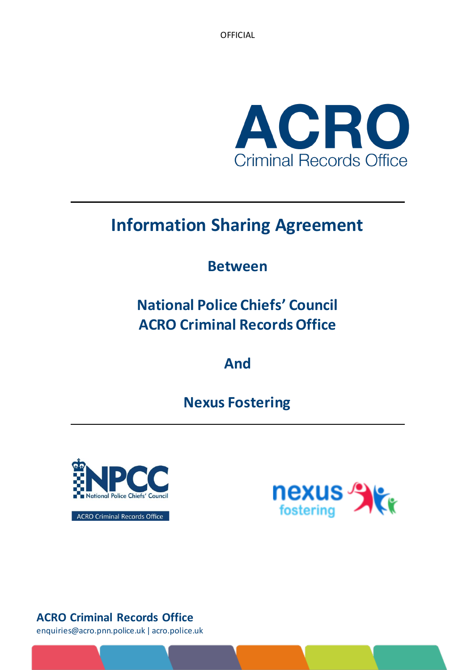OFFICIAL



# **Information Sharing Agreement**

## **Between**

# **National Police Chiefs' Council ACRO Criminal Records Office**

**And**

**Nexus Fostering**



**nexus** 

ACRO Criminal Records Office

## **ACRO Criminal Records Office**

enquiries@acro.pnn.police.uk | acro.police.uk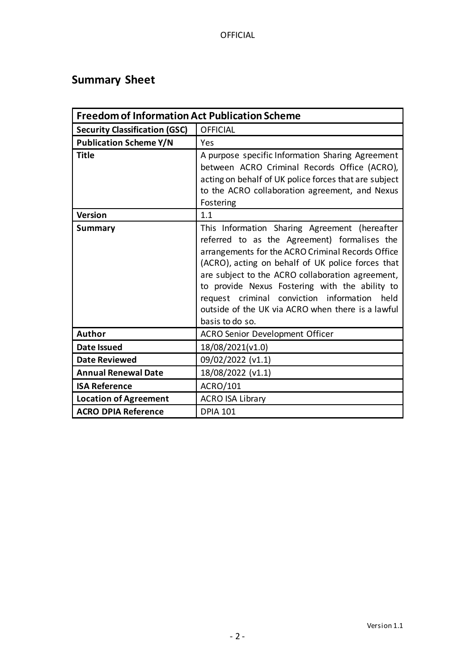## <span id="page-1-0"></span>**Summary Sheet**

| <b>Freedom of Information Act Publication Scheme</b> |                                                                                                                                                                                                                                                                                                                                                                                                                                          |  |  |
|------------------------------------------------------|------------------------------------------------------------------------------------------------------------------------------------------------------------------------------------------------------------------------------------------------------------------------------------------------------------------------------------------------------------------------------------------------------------------------------------------|--|--|
| <b>Security Classification (GSC)</b>                 | <b>OFFICIAL</b>                                                                                                                                                                                                                                                                                                                                                                                                                          |  |  |
| <b>Publication Scheme Y/N</b>                        | Yes                                                                                                                                                                                                                                                                                                                                                                                                                                      |  |  |
| <b>Title</b>                                         | A purpose specific Information Sharing Agreement<br>between ACRO Criminal Records Office (ACRO),<br>acting on behalf of UK police forces that are subject<br>to the ACRO collaboration agreement, and Nexus<br>Fostering                                                                                                                                                                                                                 |  |  |
| <b>Version</b>                                       | 1.1                                                                                                                                                                                                                                                                                                                                                                                                                                      |  |  |
| <b>Summary</b>                                       | This Information Sharing Agreement (hereafter<br>referred to as the Agreement) formalises the<br>arrangements for the ACRO Criminal Records Office<br>(ACRO), acting on behalf of UK police forces that<br>are subject to the ACRO collaboration agreement,<br>to provide Nexus Fostering with the ability to<br>request criminal conviction information<br>held<br>outside of the UK via ACRO when there is a lawful<br>basis to do so. |  |  |
| <b>Author</b>                                        | <b>ACRO Senior Development Officer</b>                                                                                                                                                                                                                                                                                                                                                                                                   |  |  |
| <b>Date Issued</b>                                   | 18/08/2021(v1.0)                                                                                                                                                                                                                                                                                                                                                                                                                         |  |  |
| <b>Date Reviewed</b>                                 | 09/02/2022 (v1.1)                                                                                                                                                                                                                                                                                                                                                                                                                        |  |  |
| <b>Annual Renewal Date</b>                           | 18/08/2022 (v1.1)                                                                                                                                                                                                                                                                                                                                                                                                                        |  |  |
| <b>ISA Reference</b>                                 | ACRO/101                                                                                                                                                                                                                                                                                                                                                                                                                                 |  |  |
| <b>Location of Agreement</b>                         | <b>ACRO ISA Library</b>                                                                                                                                                                                                                                                                                                                                                                                                                  |  |  |
| <b>ACRO DPIA Reference</b>                           | <b>DPIA 101</b>                                                                                                                                                                                                                                                                                                                                                                                                                          |  |  |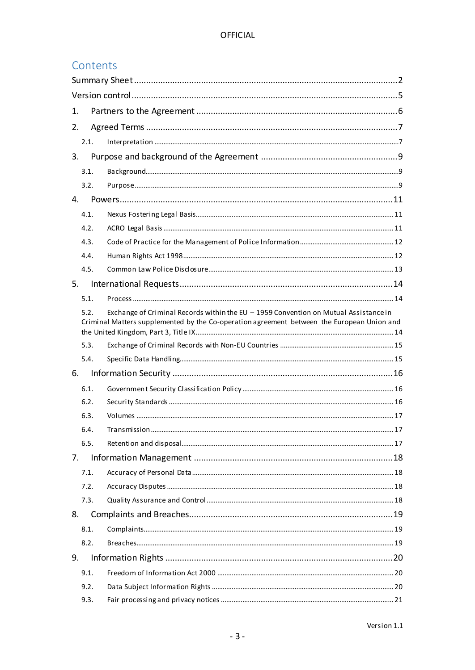## Contents

| 1.   |  |                                                                                                                                                                                    |  |  |  |
|------|--|------------------------------------------------------------------------------------------------------------------------------------------------------------------------------------|--|--|--|
| 2.   |  |                                                                                                                                                                                    |  |  |  |
| 2.1. |  |                                                                                                                                                                                    |  |  |  |
| 3.   |  |                                                                                                                                                                                    |  |  |  |
| 3.1. |  |                                                                                                                                                                                    |  |  |  |
| 3.2. |  |                                                                                                                                                                                    |  |  |  |
| 4.   |  |                                                                                                                                                                                    |  |  |  |
| 4.1. |  |                                                                                                                                                                                    |  |  |  |
| 4.2. |  |                                                                                                                                                                                    |  |  |  |
| 4.3. |  |                                                                                                                                                                                    |  |  |  |
| 4.4. |  |                                                                                                                                                                                    |  |  |  |
| 4.5. |  |                                                                                                                                                                                    |  |  |  |
| 5.   |  |                                                                                                                                                                                    |  |  |  |
| 5.1. |  |                                                                                                                                                                                    |  |  |  |
| 5.2. |  | Exchange of Criminal Records within the EU - 1959 Convention on Mutual Assistance in<br>Criminal Matters supplemented by the Co-operation agreement between the European Union and |  |  |  |
| 5.3. |  |                                                                                                                                                                                    |  |  |  |
| 5.4. |  |                                                                                                                                                                                    |  |  |  |
| 6.   |  |                                                                                                                                                                                    |  |  |  |
| 6.1. |  |                                                                                                                                                                                    |  |  |  |
| 6.2. |  |                                                                                                                                                                                    |  |  |  |
| 6.3. |  |                                                                                                                                                                                    |  |  |  |
| 6.4. |  |                                                                                                                                                                                    |  |  |  |
| 6.5. |  |                                                                                                                                                                                    |  |  |  |
| 7.   |  |                                                                                                                                                                                    |  |  |  |
| 7.1. |  |                                                                                                                                                                                    |  |  |  |
| 7.2. |  |                                                                                                                                                                                    |  |  |  |
| 7.3. |  |                                                                                                                                                                                    |  |  |  |
| 8.   |  |                                                                                                                                                                                    |  |  |  |
| 8.1. |  |                                                                                                                                                                                    |  |  |  |
| 8.2. |  |                                                                                                                                                                                    |  |  |  |
| 9.   |  |                                                                                                                                                                                    |  |  |  |
| 9.1. |  |                                                                                                                                                                                    |  |  |  |
| 9.2. |  |                                                                                                                                                                                    |  |  |  |
| 9.3. |  |                                                                                                                                                                                    |  |  |  |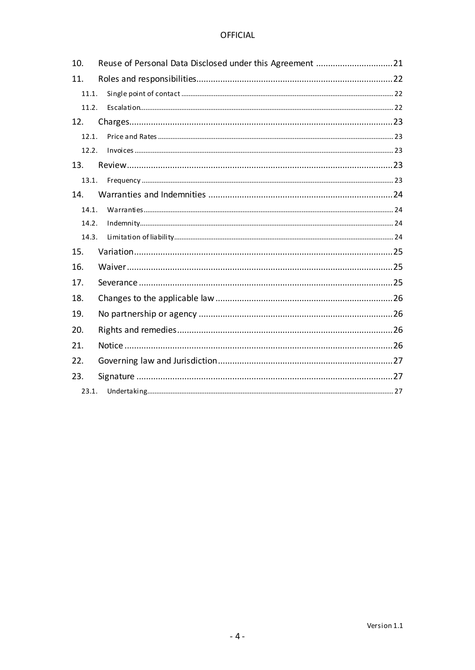#### **OFFICIAL**

| 10.   | Reuse of Personal Data Disclosed under this Agreement 21 |  |  |  |
|-------|----------------------------------------------------------|--|--|--|
| 11.   |                                                          |  |  |  |
| 11.1. |                                                          |  |  |  |
| 11.2. |                                                          |  |  |  |
| 12.   |                                                          |  |  |  |
| 12.1. |                                                          |  |  |  |
| 12.2. |                                                          |  |  |  |
| 13.   |                                                          |  |  |  |
| 13.1. |                                                          |  |  |  |
| 14.   |                                                          |  |  |  |
| 14.1. |                                                          |  |  |  |
| 14.2. |                                                          |  |  |  |
| 14.3. |                                                          |  |  |  |
| 15.   |                                                          |  |  |  |
| 16.   |                                                          |  |  |  |
| 17.   |                                                          |  |  |  |
| 18.   |                                                          |  |  |  |
| 19.   |                                                          |  |  |  |
| 20.   |                                                          |  |  |  |
| 21.   |                                                          |  |  |  |
| 22.   |                                                          |  |  |  |
| 23.   |                                                          |  |  |  |
| 23.1. |                                                          |  |  |  |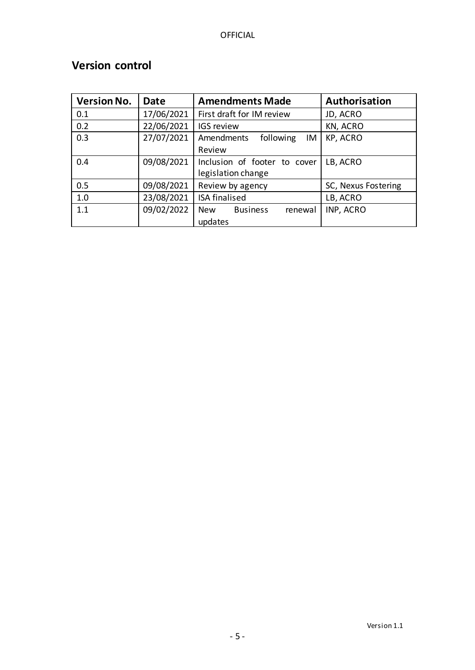| <b>Version No.</b> | <b>Date</b> | <b>Amendments Made</b>                    | Authorisation       |  |
|--------------------|-------------|-------------------------------------------|---------------------|--|
| 0.1                | 17/06/2021  | First draft for IM review                 | JD, ACRO            |  |
| 0.2                | 22/06/2021  | KN, ACRO<br><b>IGS review</b>             |                     |  |
| 0.3                | 27/07/2021  | KP, ACRO<br>Amendments<br>following<br>IM |                     |  |
|                    |             | Review                                    |                     |  |
| 0.4                | 09/08/2021  | Inclusion of footer to cover              | LB, ACRO            |  |
|                    |             | legislation change                        |                     |  |
| 0.5                | 09/08/2021  | Review by agency                          | SC, Nexus Fostering |  |
| 1.0                | 23/08/2021  | <b>ISA finalised</b><br>LB, ACRO          |                     |  |
| 1.1                | 09/02/2022  | <b>Business</b><br><b>New</b><br>renewal  | INP, ACRO           |  |
|                    |             | updates                                   |                     |  |

## <span id="page-4-0"></span>**Version control**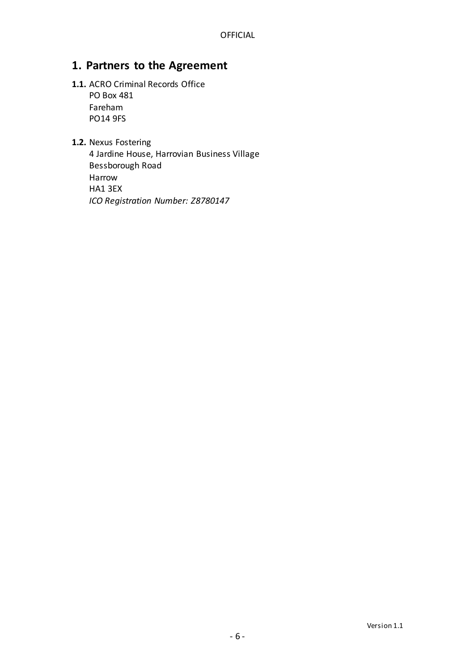## <span id="page-5-0"></span>**1. Partners to the Agreement**

- **1.1.** ACRO Criminal Records Office PO Box 481 Fareham PO14 9FS
- **1.2.** Nexus Fostering

4 Jardine House, Harrovian Business Village Bessborough Road Harrow HA1 3EX *ICO Registration Number: Z8780147*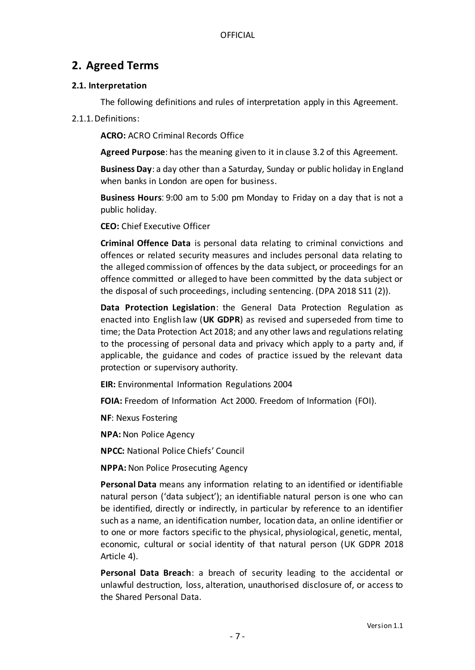## <span id="page-6-0"></span>**2. Agreed Terms**

#### <span id="page-6-1"></span>**2.1. Interpretation**

The following definitions and rules of interpretation apply in this Agreement.

#### 2.1.1.Definitions:

**ACRO:** ACRO Criminal Records Office

**Agreed Purpose**: has the meaning given to it in clause 3.2 of this Agreement.

**Business Day**: a day other than a Saturday, Sunday or public holiday in England when banks in London are open for business.

**Business Hours**: 9:00 am to 5:00 pm Monday to Friday on a day that is not a public holiday.

**CEO:** Chief Executive Officer

**Criminal Offence Data** is personal data relating to criminal convictions and offences or related security measures and includes personal data relating to the alleged commission of offences by the data subject, or proceedings for an offence committed or alleged to have been committed by the data subject or the disposal of such proceedings, including sentencing. (DPA 2018 S11 (2)).

**Data Protection Legislation**: the General Data Protection Regulation as enacted into English law (**UK GDPR**) as revised and superseded from time to time; the Data Protection Act 2018; and any other laws and regulations relating to the processing of personal data and privacy which apply to a party and, if applicable, the guidance and codes of practice issued by the relevant data protection or supervisory authority.

**EIR:** Environmental Information Regulations 2004

**FOIA:** Freedom of Information Act 2000. Freedom of Information (FOI).

**NF**: Nexus Fostering

**NPA:** Non Police Agency

**NPCC:** National Police Chiefs' Council

**NPPA:** Non Police Prosecuting Agency

**Personal Data** means any information relating to an identified or identifiable natural person ('data subject'); an identifiable natural person is one who can be identified, directly or indirectly, in particular by reference to an identifier such as a name, an identification number, location data, an online identifier or to one or more factors specific to the physical, physiological, genetic, mental, economic, cultural or social identity of that natural person (UK GDPR 2018 Article 4).

**Personal Data Breach**: a breach of security leading to the accidental or unlawful destruction, loss, alteration, unauthorised disclosure of, or access to the Shared Personal Data.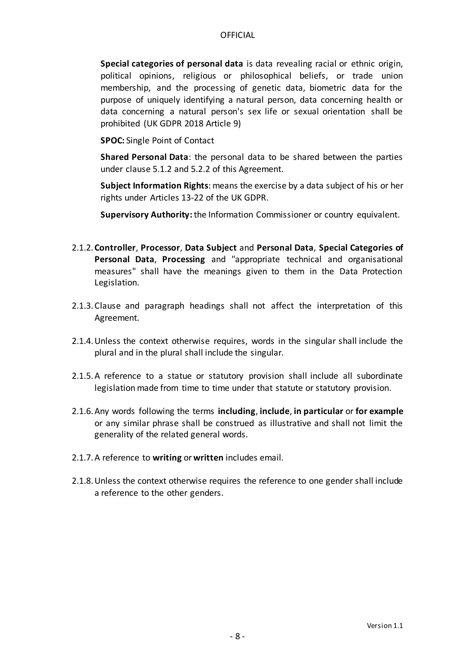**Special categories of personal data** is data revealing racial or ethnic origin, political opinions, religious or philosophical beliefs, or trade union membership, and the processing of genetic data, biometric data for the purpose of uniquely identifying a natural person, data concerning health or data concerning a natural person's sex life or sexual orientation shall be prohibited (UK GDPR 2018 Article 9)

**SPOC:** Single Point of Contact

**Shared Personal Data**: the personal data to be shared between the parties under clause 5.1.2 and 5.2.2 of this Agreement.

**Subject Information Rights**: means the exercise by a data subject of his or her rights under Articles 13-22 of the UK GDPR.

**Supervisory Authority:**the Information Commissioner or country equivalent.

- 2.1.2.**Controller**, **Processor**, **Data Subject** and **Personal Data**, **Special Categories of Personal Data**, **Processing** and "appropriate technical and organisational measures" shall have the meanings given to them in the Data Protection Legislation.
- 2.1.3.Clause and paragraph headings shall not affect the interpretation of this Agreement.
- 2.1.4.Unless the context otherwise requires, words in the singular shall include the plural and in the plural shall include the singular.
- 2.1.5.A reference to a statue or statutory provision shall include all subordinate legislation made from time to time under that statute or statutory provision.
- 2.1.6.Any words following the terms **including**, **include**, **in particular** or **for example** or any similar phrase shall be construed as illustrative and shall not limit the generality of the related general words.
- 2.1.7.A reference to **writing** or **written** includes email.
- 2.1.8.Unless the context otherwise requires the reference to one gender shall include a reference to the other genders.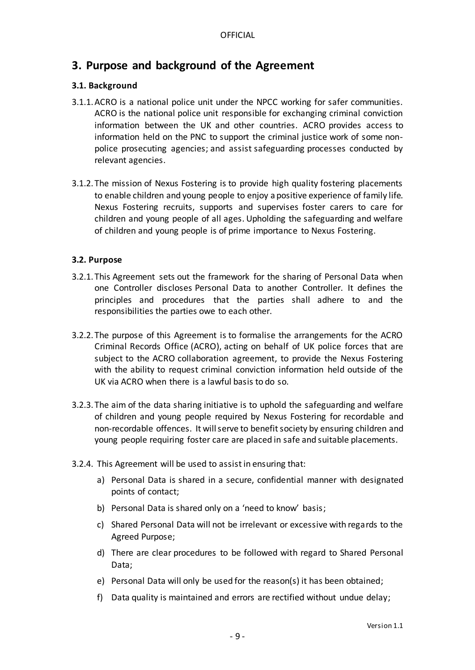## <span id="page-8-0"></span>**3. Purpose and background of the Agreement**

#### <span id="page-8-1"></span>**3.1. Background**

- 3.1.1.ACRO is a national police unit under the NPCC working for safer communities. ACRO is the national police unit responsible for exchanging criminal conviction information between the UK and other countries. ACRO provides access to information held on the PNC to support the criminal justice work of some nonpolice prosecuting agencies; and assist safeguarding processes conducted by relevant agencies.
- 3.1.2. The mission of Nexus Fostering is to provide high quality fostering placements to enable children and young people to enjoy a positive experience of family life. Nexus Fostering recruits, supports and supervises foster carers to care for children and young people of all ages. Upholding the safeguarding and welfare of children and young people is of prime importance to Nexus Fostering.

#### <span id="page-8-2"></span>**3.2. Purpose**

- 3.2.1. This Agreement sets out the framework for the sharing of Personal Data when one Controller discloses Personal Data to another Controller. It defines the principles and procedures that the parties shall adhere to and the responsibilities the parties owe to each other.
- 3.2.2. The purpose of this Agreement is to formalise the arrangements for the ACRO Criminal Records Office (ACRO), acting on behalf of UK police forces that are subject to the ACRO collaboration agreement, to provide the Nexus Fostering with the ability to request criminal conviction information held outside of the UK via ACRO when there is a lawful basis to do so.
- 3.2.3. The aim of the data sharing initiative is to uphold the safeguarding and welfare of children and young people required by Nexus Fostering for recordable and non-recordable offences. It will serve to benefit society by ensuring children and young people requiring foster care are placed in safe and suitable placements.
- 3.2.4. This Agreement will be used to assist in ensuring that:
	- a) Personal Data is shared in a secure, confidential manner with designated points of contact;
	- b) Personal Data is shared only on a 'need to know' basis;
	- c) Shared Personal Data will not be irrelevant or excessive with regards to the Agreed Purpose;
	- d) There are clear procedures to be followed with regard to Shared Personal Data;
	- e) Personal Data will only be used for the reason(s) it has been obtained;
	- f) Data quality is maintained and errors are rectified without undue delay;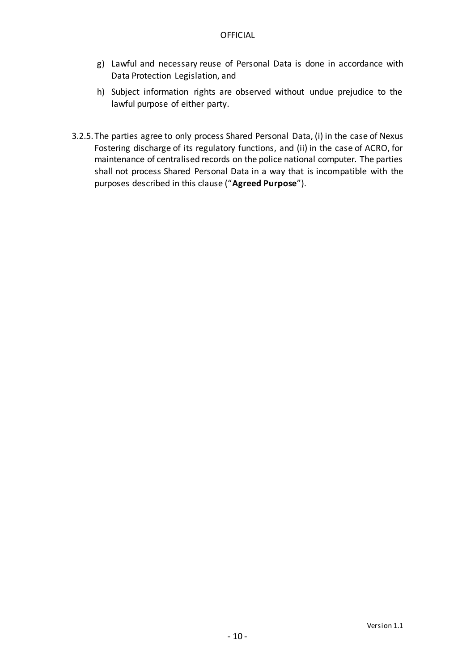- g) Lawful and necessary reuse of Personal Data is done in accordance with Data Protection Legislation, and
- h) Subject information rights are observed without undue prejudice to the lawful purpose of either party.
- 3.2.5. The parties agree to only process Shared Personal Data, (i) in the case of Nexus Fostering discharge of its regulatory functions, and (ii) in the case of ACRO, for maintenance of centralised records on the police national computer. The parties shall not process Shared Personal Data in a way that is incompatible with the purposes described in this clause ("**Agreed Purpose**").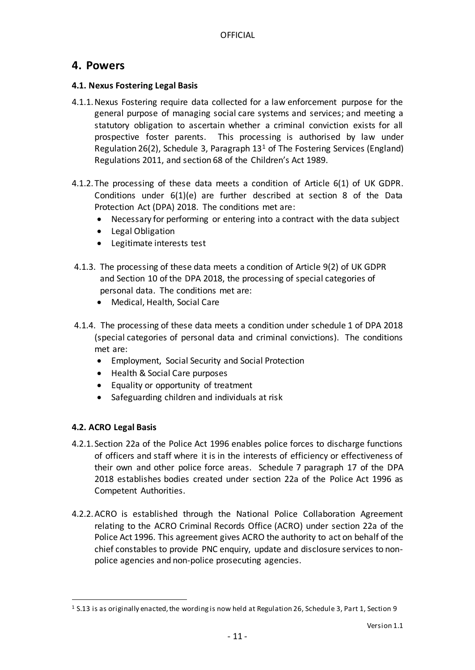## <span id="page-10-0"></span>**4. Powers**

#### <span id="page-10-1"></span>**4.1. Nexus Fostering Legal Basis**

- 4.1.1.Nexus Fostering require data collected for a law enforcement purpose for the general purpose of managing social care systems and services; and meeting a statutory obligation to ascertain whether a criminal conviction exists for all prospective foster parents. This processing is authorised by law under Regulation 26(2), Schedule 3, Paragraph  $13<sup>1</sup>$  of The Fostering Services (England) Regulations 2011, and section 68 of the Children's Act 1989.
- 4.1.2. The processing of these data meets a condition of Article 6(1) of UK GDPR. Conditions under 6(1)(e) are further described at section 8 of the Data Protection Act (DPA) 2018. The conditions met are:
	- Necessary for performing or entering into a contract with the data subject
	- Legal Obligation
	- Legitimate interests test
- 4.1.3. The processing of these data meets a condition of Article 9(2) of UK GDPR and Section 10 of the DPA 2018, the processing of special categories of personal data. The conditions met are:
	- Medical, Health, Social Care
- 4.1.4. The processing of these data meets a condition under schedule 1 of DPA 2018 (special categories of personal data and criminal convictions). The conditions met are:
	- Employment, Social Security and Social Protection
	- Health & Social Care purposes
	- Equality or opportunity of treatment
	- Safeguarding children and individuals at risk

## <span id="page-10-2"></span>**4.2. ACRO Legal Basis**

l

- 4.2.1. Section 22a of the Police Act 1996 enables police forces to discharge functions of officers and staff where it is in the interests of efficiency or effectiveness of their own and other police force areas. Schedule 7 paragraph 17 of the DPA 2018 establishes bodies created under section 22a of the Police Act 1996 as Competent Authorities.
- 4.2.2.ACRO is established through the National Police Collaboration Agreement relating to the ACRO Criminal Records Office (ACRO) under section 22a of the Police Act 1996. This agreement gives ACRO the authority to act on behalf of the chief constables to provide PNC enquiry, update and disclosure services to nonpolice agencies and non-police prosecuting agencies.

<sup>1</sup> S.13 is as originally enacted, the wording is now held at Regulation 26, Schedule 3, Part 1, Section 9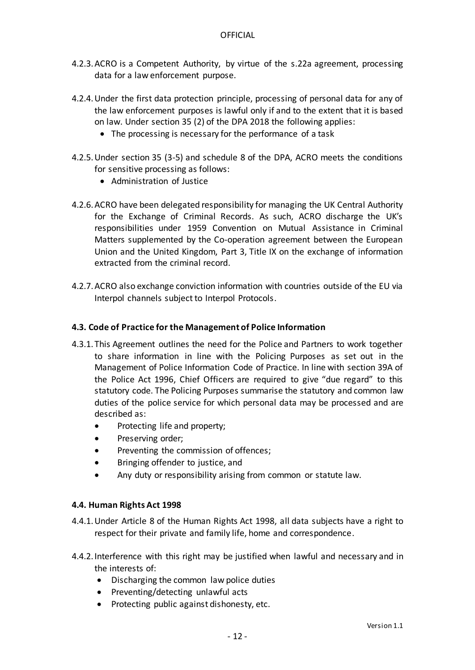- 4.2.3.ACRO is a Competent Authority, by virtue of the s.22a agreement, processing data for a law enforcement purpose.
- 4.2.4.Under the first data protection principle, processing of personal data for any of the law enforcement purposes is lawful only if and to the extent that it is based on law. Under section 35 (2) of the DPA 2018 the following applies:
	- The processing is necessary for the performance of a task
- 4.2.5.Under section 35 (3-5) and schedule 8 of the DPA, ACRO meets the conditions for sensitive processing as follows:
	- Administration of Justice
- 4.2.6.ACRO have been delegated responsibility for managing the UK Central Authority for the Exchange of Criminal Records. As such, ACRO discharge the UK's responsibilities under 1959 Convention on Mutual Assistance in Criminal Matters supplemented by the Co-operation agreement between the European Union and the United Kingdom, Part 3, Title IX on the exchange of information extracted from the criminal record.
- 4.2.7.ACRO also exchange conviction information with countries outside of the EU via Interpol channels subject to Interpol Protocols.

#### <span id="page-11-0"></span>**4.3. Code of Practice for the Management of Police Information**

- 4.3.1. This Agreement outlines the need for the Police and Partners to work together to share information in line with the Policing Purposes as set out in the Management of Police Information Code of Practice. In line with section 39A of the Police Act 1996, Chief Officers are required to give "due regard" to this statutory code. The Policing Purposes summarise the statutory and common law duties of the police service for which personal data may be processed and are described as:
	- Protecting life and property;
	- Preserving order;
	- Preventing the commission of offences;
	- Bringing offender to justice, and
	- Any duty or responsibility arising from common or statute law.

#### <span id="page-11-1"></span>**4.4. Human Rights Act 1998**

- 4.4.1.Under Article 8 of the Human Rights Act 1998, all data subjects have a right to respect for their private and family life, home and correspondence.
- 4.4.2. Interference with this right may be justified when lawful and necessary and in the interests of:
	- Discharging the common law police duties
	- Preventing/detecting unlawful acts
	- Protecting public against dishonesty, etc.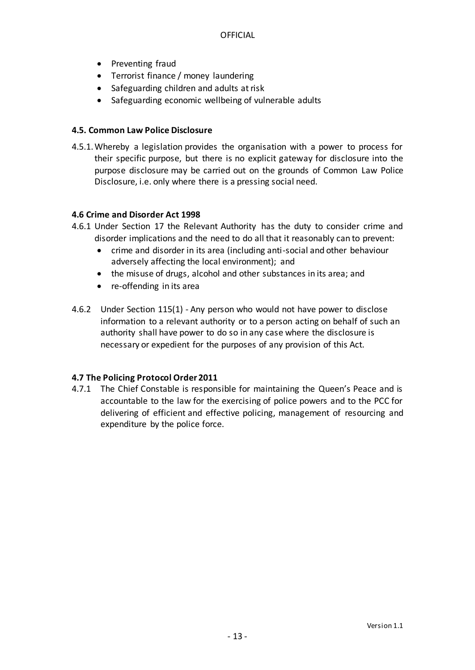- Preventing fraud
- Terrorist finance / money laundering
- Safeguarding children and adults at risk
- Safeguarding economic wellbeing of vulnerable adults

#### <span id="page-12-0"></span>**4.5. Common Law Police Disclosure**

4.5.1.Whereby a legislation provides the organisation with a power to process for their specific purpose, but there is no explicit gateway for disclosure into the purpose disclosure may be carried out on the grounds of Common Law Police Disclosure, i.e. only where there is a pressing social need.

#### **4.6 Crime and Disorder Act 1998**

- 4.6.1 Under Section 17 the Relevant Authority has the duty to consider crime and disorder implications and the need to do all that it reasonably can to prevent:
	- crime and disorder in its area (including anti-social and other behaviour adversely affecting the local environment); and
	- the misuse of drugs, alcohol and other substances in its area; and
	- re-offending in its area
- 4.6.2 Under Section 115(1) Any person who would not have power to disclose information to a relevant authority or to a person acting on behalf of such an authority shall have power to do so in any case where the disclosure is necessary or expedient for the purposes of any provision of this Act.

#### **4.7 The Policing Protocol Order 2011**

4.7.1 The Chief Constable is responsible for maintaining the Queen's Peace and is accountable to the law for the exercising of police powers and to the PCC for delivering of efficient and effective policing, management of resourcing and expenditure by the police force.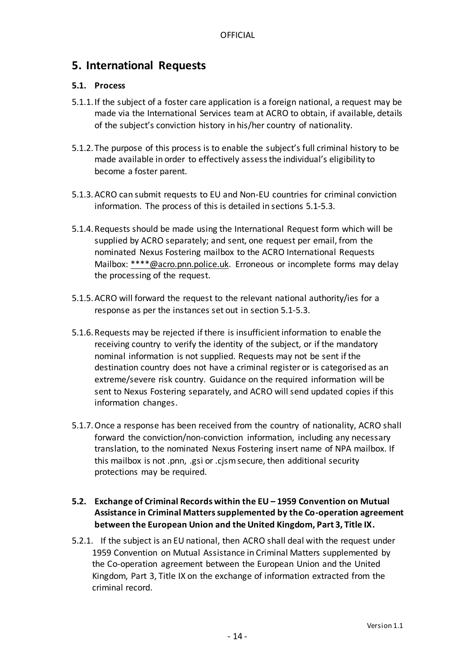## <span id="page-13-0"></span>**5. International Requests**

#### <span id="page-13-1"></span>**5.1. Process**

- 5.1.1. If the subject of a foster care application is a foreign national, a request may be made via the International Services team at ACRO to obtain, if available, details of the subject's conviction history in his/her country of nationality.
- 5.1.2. The purpose of this process is to enable the subject's full criminal history to be made available in order to effectively assess the individual's eligibility to become a foster parent.
- 5.1.3.ACRO can submit requests to EU and Non-EU countries for criminal conviction information. The process of this is detailed in sections 5.1-5.3.
- 5.1.4.Requests should be made using the International Request form which will be supplied by ACRO separately; and sent, one request per email, from the nominated Nexus Fostering mailbox to the ACRO International Requests Mailbox: \*\*\*\*@acro.pnn.police.uk. Erroneous or incomplete forms may delay the processing of the request.
- 5.1.5.ACRO will forward the request to the relevant national authority/ies for a response as per the instances set out in section 5.1-5.3.
- 5.1.6.Requests may be rejected if there is insufficient information to enable the receiving country to verify the identity of the subject, or if the mandatory nominal information is not supplied. Requests may not be sent if the destination country does not have a criminal register or is categorised as an extreme/severe risk country. Guidance on the required information will be sent to Nexus Fostering separately, and ACRO will send updated copies if this information changes.
- 5.1.7.Once a response has been received from the country of nationality, ACRO shall forward the conviction/non-conviction information, including any necessary translation, to the nominated Nexus Fostering insert name of NPA mailbox. If this mailbox is not .pnn, .gsi or .cjsm secure, then additional security protections may be required.

#### <span id="page-13-2"></span>**5.2. Exchange of Criminal Records within the EU – 1959 Convention on Mutual Assistance in Criminal Matters supplemented by the Co-operation agreement between the European Union and the United Kingdom, Part 3, Title IX.**

5.2.1. If the subject is an EU national, then ACRO shall deal with the request under 1959 Convention on Mutual Assistance in Criminal Matters supplemented by the Co-operation agreement between the European Union and the United Kingdom, Part 3, Title IX on the exchange of information extracted from the criminal record.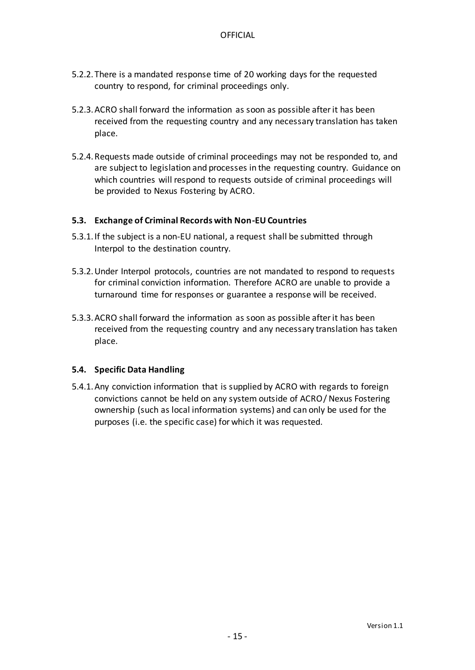- 5.2.2. There is a mandated response time of 20 working days for the requested country to respond, for criminal proceedings only.
- 5.2.3.ACRO shall forward the information as soon as possible after it has been received from the requesting country and any necessary translation has taken place.
- 5.2.4.Requests made outside of criminal proceedings may not be responded to, and are subject to legislation and processes in the requesting country. Guidance on which countries will respond to requests outside of criminal proceedings will be provided to Nexus Fostering by ACRO.

#### <span id="page-14-0"></span>**5.3. Exchange of Criminal Records with Non-EU Countries**

- 5.3.1. If the subject is a non-EU national, a request shall be submitted through Interpol to the destination country.
- 5.3.2.Under Interpol protocols, countries are not mandated to respond to requests for criminal conviction information. Therefore ACRO are unable to provide a turnaround time for responses or guarantee a response will be received.
- 5.3.3.ACRO shall forward the information as soon as possible after it has been received from the requesting country and any necessary translation has taken place.

#### <span id="page-14-1"></span>**5.4. Specific Data Handling**

5.4.1.Any conviction information that is supplied by ACRO with regards to foreign convictions cannot be held on any system outside of ACRO/ Nexus Fostering ownership (such as local information systems) and can only be used for the purposes (i.e. the specific case) for which it was requested.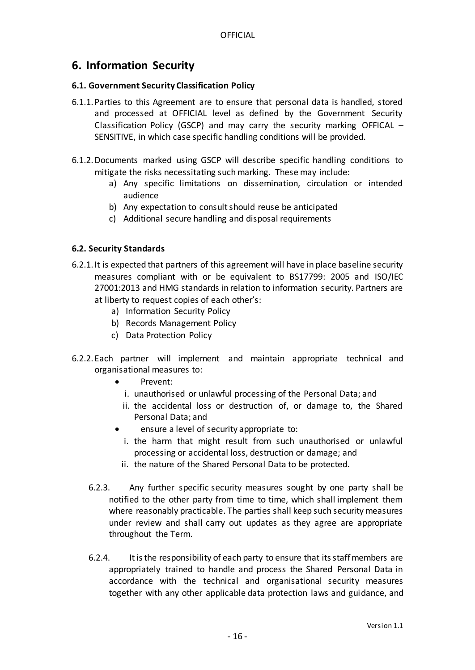## <span id="page-15-0"></span>**6. Information Security**

#### <span id="page-15-1"></span>**6.1. Government Security Classification Policy**

- 6.1.1.Parties to this Agreement are to ensure that personal data is handled, stored and processed at OFFICIAL level as defined by the Government Security Classification Policy (GSCP) and may carry the security marking OFFICAL – SENSITIVE, in which case specific handling conditions will be provided.
- 6.1.2.Documents marked using GSCP will describe specific handling conditions to mitigate the risks necessitating such marking. These may include:
	- a) Any specific limitations on dissemination, circulation or intended audience
	- b) Any expectation to consult should reuse be anticipated
	- c) Additional secure handling and disposal requirements

#### <span id="page-15-2"></span>**6.2. Security Standards**

- 6.2.1. It is expected that partners of this agreement will have in place baseline security measures compliant with or be equivalent to BS17799: 2005 and ISO/IEC 27001:2013 and HMG standards in relation to information security. Partners are at liberty to request copies of each other's:
	- a) Information Security Policy
	- b) Records Management Policy
	- c) Data Protection Policy
- 6.2.2. Each partner will implement and maintain appropriate technical and organisational measures to:
	- Prevent:
		- i. unauthorised or unlawful processing of the Personal Data; and
	- ii. the accidental loss or destruction of, or damage to, the Shared Personal Data; and
	- ensure a level of security appropriate to:
	- i. the harm that might result from such unauthorised or unlawful processing or accidental loss, destruction or damage; and
	- ii. the nature of the Shared Personal Data to be protected.
	- 6.2.3. Any further specific security measures sought by one party shall be notified to the other party from time to time, which shall implement them where reasonably practicable. The parties shall keep such security measures under review and shall carry out updates as they agree are appropriate throughout the Term.
	- 6.2.4. It is the responsibility of each party to ensure that its staff members are appropriately trained to handle and process the Shared Personal Data in accordance with the technical and organisational security measures together with any other applicable data protection laws and guidance, and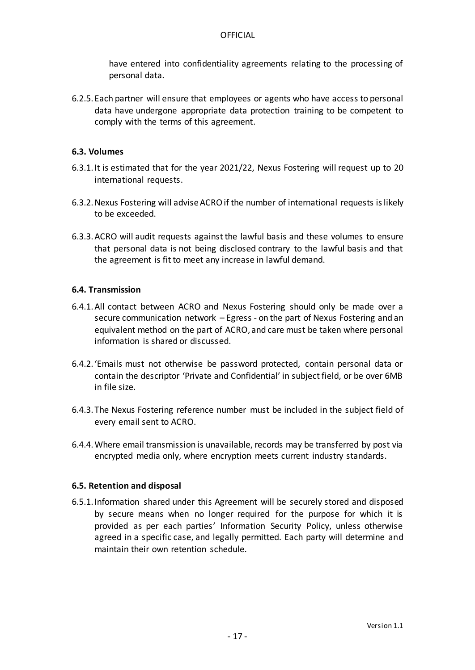have entered into confidentiality agreements relating to the processing of personal data.

6.2.5. Each partner will ensure that employees or agents who have access to personal data have undergone appropriate data protection training to be competent to comply with the terms of this agreement.

#### <span id="page-16-0"></span>**6.3. Volumes**

- 6.3.1. It is estimated that for the year 2021/22, Nexus Fostering will request up to 20 international requests.
- 6.3.2.Nexus Fostering will advise ACRO if the number of international requests is likely to be exceeded.
- 6.3.3.ACRO will audit requests against the lawful basis and these volumes to ensure that personal data is not being disclosed contrary to the lawful basis and that the agreement is fit to meet any increase in lawful demand.

#### <span id="page-16-1"></span>**6.4. Transmission**

- 6.4.1.All contact between ACRO and Nexus Fostering should only be made over a secure communication network – Egress - on the part of Nexus Fostering and an equivalent method on the part of ACRO, and care must be taken where personal information is shared or discussed.
- 6.4.2. 'Emails must not otherwise be password protected, contain personal data or contain the descriptor 'Private and Confidential' in subject field, or be over 6MB in file size.
- 6.4.3. The Nexus Fostering reference number must be included in the subject field of every email sent to ACRO.
- 6.4.4.Where email transmission is unavailable, records may be transferred by post via encrypted media only, where encryption meets current industry standards.

#### <span id="page-16-2"></span>**6.5. Retention and disposal**

6.5.1. Information shared under this Agreement will be securely stored and disposed by secure means when no longer required for the purpose for which it is provided as per each parties' Information Security Policy, unless otherwise agreed in a specific case, and legally permitted. Each party will determine and maintain their own retention schedule.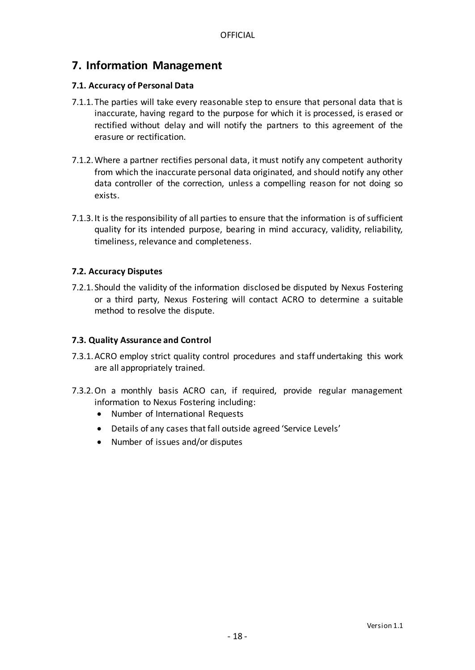## <span id="page-17-0"></span>**7. Information Management**

#### <span id="page-17-1"></span>**7.1. Accuracy of Personal Data**

- 7.1.1. The parties will take every reasonable step to ensure that personal data that is inaccurate, having regard to the purpose for which it is processed, is erased or rectified without delay and will notify the partners to this agreement of the erasure or rectification.
- 7.1.2.Where a partner rectifies personal data, it must notify any competent authority from which the inaccurate personal data originated, and should notify any other data controller of the correction, unless a compelling reason for not doing so exists.
- 7.1.3. It is the responsibility of all parties to ensure that the information is of sufficient quality for its intended purpose, bearing in mind accuracy, validity, reliability, timeliness, relevance and completeness.

#### <span id="page-17-2"></span>**7.2. Accuracy Disputes**

7.2.1. Should the validity of the information disclosed be disputed by Nexus Fostering or a third party, Nexus Fostering will contact ACRO to determine a suitable method to resolve the dispute.

#### <span id="page-17-3"></span>**7.3. Quality Assurance and Control**

- 7.3.1.ACRO employ strict quality control procedures and staff undertaking this work are all appropriately trained.
- 7.3.2.On a monthly basis ACRO can, if required, provide regular management information to Nexus Fostering including:
	- Number of International Requests
	- Details of any cases that fall outside agreed 'Service Levels'
	- Number of issues and/or disputes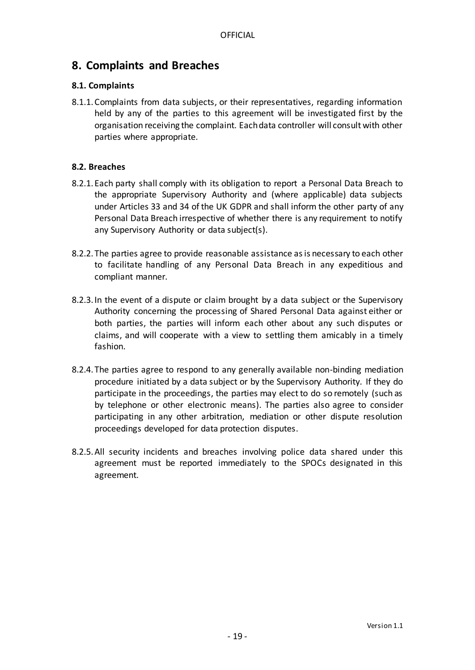## <span id="page-18-0"></span>**8. Complaints and Breaches**

#### <span id="page-18-1"></span>**8.1. Complaints**

8.1.1.Complaints from data subjects, or their representatives, regarding information held by any of the parties to this agreement will be investigated first by the organisation receiving the complaint. Each data controller will consult with other parties where appropriate.

#### <span id="page-18-2"></span>**8.2. Breaches**

- 8.2.1. Each party shall comply with its obligation to report a Personal Data Breach to the appropriate Supervisory Authority and (where applicable) data subjects under Articles 33 and 34 of the UK GDPR and shall inform the other party of any Personal Data Breach irrespective of whether there is any requirement to notify any Supervisory Authority or data subject(s).
- 8.2.2. The parties agree to provide reasonable assistance as is necessary to each other to facilitate handling of any Personal Data Breach in any expeditious and compliant manner.
- 8.2.3. In the event of a dispute or claim brought by a data subject or the Supervisory Authority concerning the processing of Shared Personal Data against either or both parties, the parties will inform each other about any such disputes or claims, and will cooperate with a view to settling them amicably in a timely fashion.
- 8.2.4. The parties agree to respond to any generally available non-binding mediation procedure initiated by a data subject or by the Supervisory Authority. If they do participate in the proceedings, the parties may elect to do so remotely (such as by telephone or other electronic means). The parties also agree to consider participating in any other arbitration, mediation or other dispute resolution proceedings developed for data protection disputes.
- 8.2.5.All security incidents and breaches involving police data shared under this agreement must be reported immediately to the SPOCs designated in this agreement.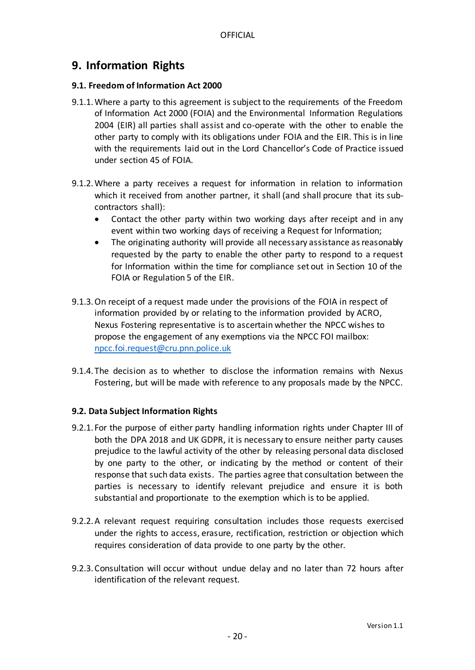## <span id="page-19-0"></span>**9. Information Rights**

#### <span id="page-19-1"></span>**9.1. Freedom of Information Act 2000**

- 9.1.1.Where a party to this agreement is subject to the requirements of the Freedom of Information Act 2000 (FOIA) and the Environmental Information Regulations 2004 (EIR) all parties shall assist and co-operate with the other to enable the other party to comply with its obligations under FOIA and the EIR. This is in line with the requirements laid out in the Lord Chancellor's Code of Practice issued under section 45 of FOIA.
- 9.1.2.Where a party receives a request for information in relation to information which it received from another partner, it shall (and shall procure that its subcontractors shall):
	- Contact the other party within two working days after receipt and in any event within two working days of receiving a Request for Information;
	- The originating authority will provide all necessary assistance as reasonably requested by the party to enable the other party to respond to a request for Information within the time for compliance set out in Section 10 of the FOIA or Regulation 5 of the EIR.
- 9.1.3.On receipt of a request made under the provisions of the FOIA in respect of information provided by or relating to the information provided by ACRO, Nexus Fostering representative is to ascertain whether the NPCC wishes to propose the engagement of any exemptions via the NPCC FOI mailbox: [npcc.foi.request@cru.pnn.police.uk](mailto:npcc.foi.request@cru.pnn.police.uk)
- 9.1.4. The decision as to whether to disclose the information remains with Nexus Fostering, but will be made with reference to any proposals made by the NPCC.

#### <span id="page-19-2"></span>**9.2. Data Subject Information Rights**

- 9.2.1. For the purpose of either party handling information rights under Chapter III of both the DPA 2018 and UK GDPR, it is necessary to ensure neither party causes prejudice to the lawful activity of the other by releasing personal data disclosed by one party to the other, or indicating by the method or content of their response that such data exists. The parties agree that consultation between the parties is necessary to identify relevant prejudice and ensure it is both substantial and proportionate to the exemption which is to be applied.
- 9.2.2.A relevant request requiring consultation includes those requests exercised under the rights to access, erasure, rectification, restriction or objection which requires consideration of data provide to one party by the other.
- 9.2.3.Consultation will occur without undue delay and no later than 72 hours after identification of the relevant request.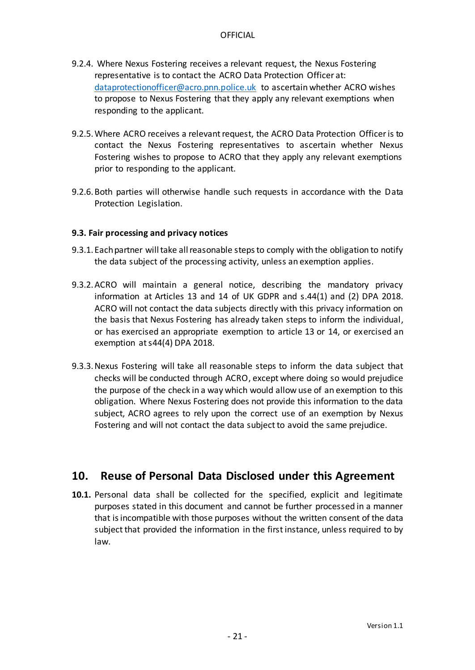- 9.2.4. Where Nexus Fostering receives a relevant request, the Nexus Fostering representative is to contact the ACRO Data Protection Officer at: [dataprotectionofficer@acro.pnn.police.uk](mailto:dataprotectionofficer@acro.pnn.police.uk) to ascertain whether ACRO wishes to propose to Nexus Fostering that they apply any relevant exemptions when responding to the applicant.
- 9.2.5.Where ACRO receives a relevant request, the ACRO Data Protection Officer is to contact the Nexus Fostering representatives to ascertain whether Nexus Fostering wishes to propose to ACRO that they apply any relevant exemptions prior to responding to the applicant.
- 9.2.6.Both parties will otherwise handle such requests in accordance with the Data Protection Legislation.

#### <span id="page-20-0"></span>**9.3. Fair processing and privacy notices**

- 9.3.1. Each partner will take all reasonable steps to comply with the obligation to notify the data subject of the processing activity, unless an exemption applies.
- 9.3.2.ACRO will maintain a general notice, describing the mandatory privacy information at Articles 13 and 14 of UK GDPR and s.44(1) and (2) DPA 2018. ACRO will not contact the data subjects directly with this privacy information on the basis that Nexus Fostering has already taken steps to inform the individual, or has exercised an appropriate exemption to article 13 or 14, or exercised an exemption at s44(4) DPA 2018.
- 9.3.3.Nexus Fostering will take all reasonable steps to inform the data subject that checks will be conducted through ACRO, except where doing so would prejudice the purpose of the check in a way which would allow use of an exemption to this obligation. Where Nexus Fostering does not provide this information to the data subject, ACRO agrees to rely upon the correct use of an exemption by Nexus Fostering and will not contact the data subject to avoid the same prejudice.

## <span id="page-20-1"></span>**10. Reuse of Personal Data Disclosed under this Agreement**

**10.1.** Personal data shall be collected for the specified, explicit and legitimate purposes stated in this document and cannot be further processed in a manner that is incompatible with those purposes without the written consent of the data subject that provided the information in the first instance, unless required to by law.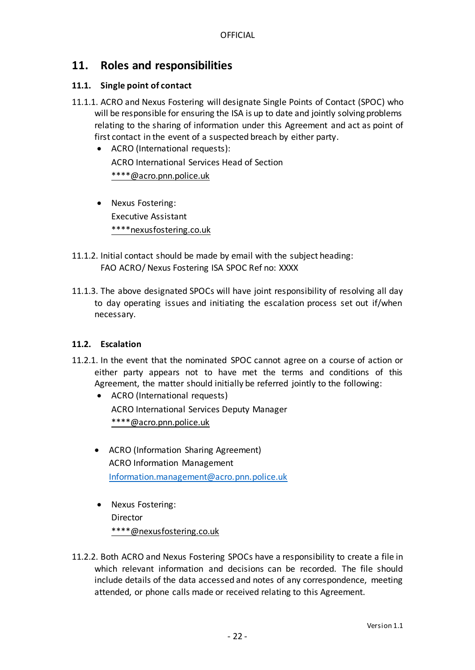## <span id="page-21-0"></span>**11. Roles and responsibilities**

#### <span id="page-21-1"></span>**11.1. Single point of contact**

- 11.1.1. ACRO and Nexus Fostering will designate Single Points of Contact (SPOC) who will be responsible for ensuring the ISA is up to date and jointly solving problems relating to the sharing of information under this Agreement and act as point of first contact in the event of a suspected breach by either party.
	- ACRO (International requests): ACRO International Services Head of Section \*\*\*\*@acro.pnn.police.uk
	- Nexus Fostering: Executive Assistant \*\*\*\*nexusfostering.co.uk
- 11.1.2. Initial contact should be made by email with the subject heading: FAO ACRO/ Nexus Fostering ISA SPOC Ref no: XXXX
- 11.1.3. The above designated SPOCs will have joint responsibility of resolving all day to day operating issues and initiating the escalation process set out if/when necessary.

#### <span id="page-21-2"></span>**11.2. Escalation**

- 11.2.1. In the event that the nominated SPOC cannot agree on a course of action or either party appears not to have met the terms and conditions of this Agreement, the matter should initially be referred jointly to the following:
	- ACRO (International requests) ACRO International Services Deputy Manager \*\*\*\*@acro.pnn.police.uk
	- ACRO (Information Sharing Agreement) ACRO Information Management [Information.management@acro.pnn.police.uk](mailto:Information.management@acro.pnn.police.uk)
	- Nexus Fostering: Director \*\*\*\*@nexusfostering.co.uk
- 11.2.2. Both ACRO and Nexus Fostering SPOCs have a responsibility to create a file in which relevant information and decisions can be recorded. The file should include details of the data accessed and notes of any correspondence, meeting attended, or phone calls made or received relating to this Agreement.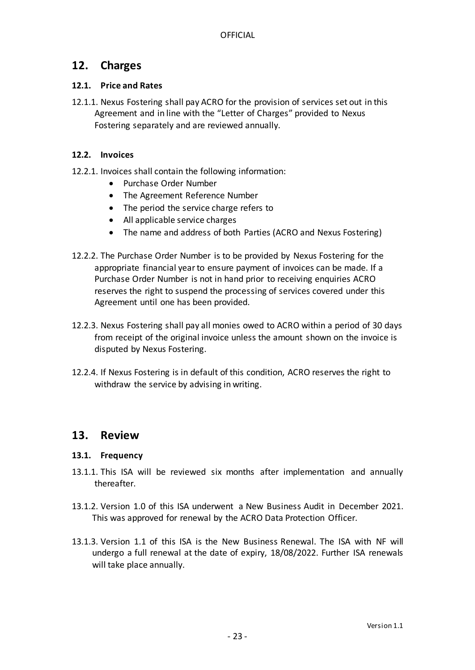## <span id="page-22-0"></span>**12. Charges**

#### <span id="page-22-1"></span>**12.1. Price and Rates**

12.1.1. Nexus Fostering shall pay ACRO for the provision of services set out in this Agreement and in line with the "Letter of Charges" provided to Nexus Fostering separately and are reviewed annually.

#### <span id="page-22-2"></span>**12.2. Invoices**

- 12.2.1. Invoices shall contain the following information:
	- Purchase Order Number
	- The Agreement Reference Number
	- The period the service charge refers to
	- All applicable service charges
	- The name and address of both Parties (ACRO and Nexus Fostering)
- 12.2.2. The Purchase Order Number is to be provided by Nexus Fostering for the appropriate financial year to ensure payment of invoices can be made. If a Purchase Order Number is not in hand prior to receiving enquiries ACRO reserves the right to suspend the processing of services covered under this Agreement until one has been provided.
- 12.2.3. Nexus Fostering shall pay all monies owed to ACRO within a period of 30 days from receipt of the original invoice unless the amount shown on the invoice is disputed by Nexus Fostering.
- 12.2.4. If Nexus Fostering is in default of this condition, ACRO reserves the right to withdraw the service by advising in writing.

## <span id="page-22-3"></span>**13. Review**

#### <span id="page-22-4"></span>**13.1. Frequency**

- 13.1.1. This ISA will be reviewed six months after implementation and annually thereafter.
- 13.1.2. Version 1.0 of this ISA underwent a New Business Audit in December 2021. This was approved for renewal by the ACRO Data Protection Officer.
- 13.1.3. Version 1.1 of this ISA is the New Business Renewal. The ISA with NF will undergo a full renewal at the date of expiry, 18/08/2022. Further ISA renewals will take place annually.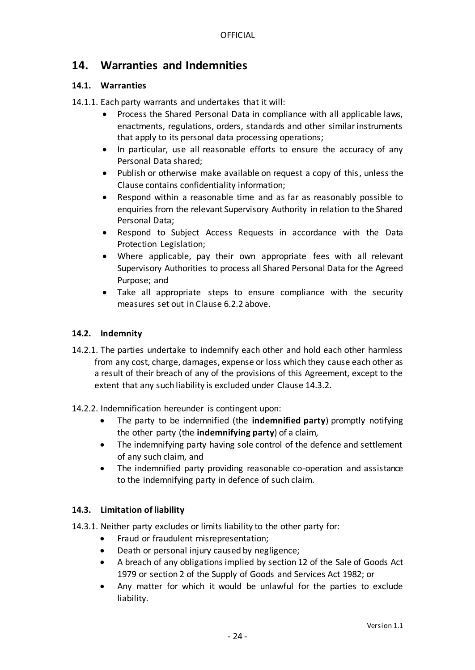## <span id="page-23-0"></span>**14. Warranties and Indemnities**

#### <span id="page-23-1"></span>**14.1. Warranties**

14.1.1. Each party warrants and undertakes that it will:

- Process the Shared Personal Data in compliance with all applicable laws, enactments, regulations, orders, standards and other similar instruments that apply to its personal data processing operations;
- In particular, use all reasonable efforts to ensure the accuracy of any Personal Data shared;
- Publish or otherwise make available on request a copy of this, unless the Clause contains confidentiality information;
- Respond within a reasonable time and as far as reasonably possible to enquiries from the relevant Supervisory Authority in relation to the Shared Personal Data;
- Respond to Subject Access Requests in accordance with the Data Protection Legislation;
- Where applicable, pay their own appropriate fees with all relevant Supervisory Authorities to process all Shared Personal Data for the Agreed Purpose; and
- Take all appropriate steps to ensure compliance with the security measures set out in Clause 6.2.2 above.

#### <span id="page-23-2"></span>**14.2. Indemnity**

- 14.2.1. The parties undertake to indemnify each other and hold each other harmless from any cost, charge, damages, expense or loss which they cause each other as a result of their breach of any of the provisions of this Agreement, except to the extent that any such liability is excluded under Clause 14.3.2.
- 14.2.2. Indemnification hereunder is contingent upon:
	- The party to be indemnified (the **indemnified party**) promptly notifying the other party (the **indemnifying party**) of a claim,
	- The indemnifying party having sole control of the defence and settlement of any such claim, and
	- The indemnified party providing reasonable co-operation and assistance to the indemnifying party in defence of such claim.

#### <span id="page-23-3"></span>**14.3. Limitation of liability**

- 14.3.1. Neither party excludes or limits liability to the other party for:
	- Fraud or fraudulent misrepresentation;
	- Death or personal injury caused by negligence;
	- A breach of any obligations implied by section 12 of the Sale of Goods Act 1979 or section 2 of the Supply of Goods and Services Act 1982; or
	- Any matter for which it would be unlawful for the parties to exclude liability.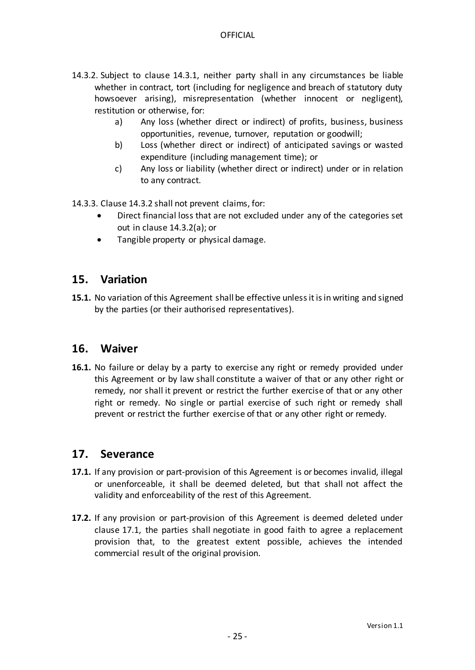- 14.3.2. Subject to clause 14.3.1, neither party shall in any circumstances be liable whether in contract, tort (including for negligence and breach of statutory duty howsoever arising), misrepresentation (whether innocent or negligent), restitution or otherwise, for:
	- a) Any loss (whether direct or indirect) of profits, business, business opportunities, revenue, turnover, reputation or goodwill;
	- b) Loss (whether direct or indirect) of anticipated savings or wasted expenditure (including management time); or
	- c) Any loss or liability (whether direct or indirect) under or in relation to any contract.

14.3.3. Clause 14.3.2 shall not prevent claims, for:

- Direct financial loss that are not excluded under any of the categories set out in clause 14.3.2(a); or
- Tangible property or physical damage.

## <span id="page-24-0"></span>**15. Variation**

**15.1.** No variation of this Agreement shall be effective unless it is in writing and signed by the parties (or their authorised representatives).

## <span id="page-24-1"></span>**16. Waiver**

**16.1.** No failure or delay by a party to exercise any right or remedy provided under this Agreement or by law shall constitute a waiver of that or any other right or remedy, nor shall it prevent or restrict the further exercise of that or any other right or remedy. No single or partial exercise of such right or remedy shall prevent or restrict the further exercise of that or any other right or remedy.

## <span id="page-24-2"></span>**17. Severance**

- <span id="page-24-3"></span>**17.1.** If any provision or part-provision of this Agreement is or becomes invalid, illegal or unenforceable, it shall be deemed deleted, but that shall not affect the validity and enforceability of the rest of this Agreement.
- **17.2.** If any provision or part-provision of this Agreement is deemed deleted under clause [17.1,](#page-24-3) the parties shall negotiate in good faith to agree a replacement provision that, to the greatest extent possible, achieves the intended commercial result of the original provision.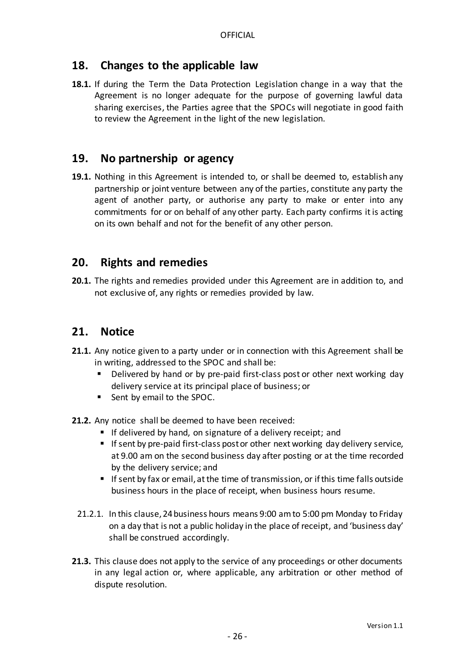## <span id="page-25-0"></span>**18. Changes to the applicable law**

**18.1.** If during the Term the Data Protection Legislation change in a way that the Agreement is no longer adequate for the purpose of governing lawful data sharing exercises, the Parties agree that the SPOCs will negotiate in good faith to review the Agreement in the light of the new legislation.

## <span id="page-25-1"></span>**19. No partnership or agency**

**19.1.** Nothing in this Agreement is intended to, or shall be deemed to, establish any partnership or joint venture between any of the parties, constitute any party the agent of another party, or authorise any party to make or enter into any commitments for or on behalf of any other party. Each party confirms it is acting on its own behalf and not for the benefit of any other person.

## <span id="page-25-2"></span>**20. Rights and remedies**

**20.1.** The rights and remedies provided under this Agreement are in addition to, and not exclusive of, any rights or remedies provided by law.

## <span id="page-25-3"></span>**21. Notice**

- **21.1.** Any notice given to a party under or in connection with this Agreement shall be in writing, addressed to the SPOC and shall be:
	- Delivered by hand or by pre-paid first-class post or other next working day delivery service at its principal place of business; or
	- Sent by email to the SPOC.
- **21.2.** Any notice shall be deemed to have been received:
	- If delivered by hand, on signature of a delivery receipt; and
	- If sent by pre-paid first-class post or other next working day delivery service, at 9.00 am on the second business day after posting or at the time recorded by the delivery service; and
	- If sent by fax or email, at the time of transmission, or if this time falls outside business hours in the place of receipt, when business hours resume.
	- 21.2.1. In this clause,24business hours means 9:00 am to 5:00 pm Monday to Friday on a day that is not a public holiday in the place of receipt, and 'business day' shall be construed accordingly.
- **21.3.** This clause does not apply to the service of any proceedings or other documents in any legal action or, where applicable, any arbitration or other method of dispute resolution.